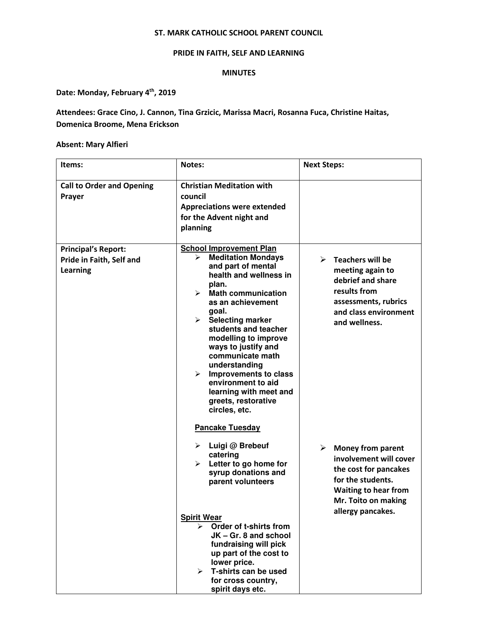#### ST. MARK CATHOLIC SCHOOL PARENT COUNCIL

## PRIDE IN FAITH, SELF AND LEARNING

#### MINUTES

# Date: Monday, February 4<sup>th</sup>, 2019

Attendees: Grace Cino, J. Cannon, Tina Grzicic, Marissa Macri, Rosanna Fuca, Christine Haitas, Domenica Broome, Mena Erickson

### Absent: Mary Alfieri

| Items:                                                             | Notes:                                                                                                                                                                                                                                                                                                                                                                                                                                                                            | <b>Next Steps:</b>                                                                                                                                                                    |
|--------------------------------------------------------------------|-----------------------------------------------------------------------------------------------------------------------------------------------------------------------------------------------------------------------------------------------------------------------------------------------------------------------------------------------------------------------------------------------------------------------------------------------------------------------------------|---------------------------------------------------------------------------------------------------------------------------------------------------------------------------------------|
| <b>Call to Order and Opening</b><br>Prayer                         | <b>Christian Meditation with</b><br>council<br><b>Appreciations were extended</b><br>for the Advent night and<br>planning                                                                                                                                                                                                                                                                                                                                                         |                                                                                                                                                                                       |
| <b>Principal's Report:</b><br>Pride in Faith, Self and<br>Learning | <b>School Improvement Plan</b><br><b>Meditation Mondays</b><br>➤<br>and part of mental<br>health and wellness in<br>plan.<br>$\triangleright$ Math communication<br>as an achievement<br>goal.<br>$\triangleright$ Selecting marker<br>students and teacher<br>modelling to improve<br>ways to justify and<br>communicate math<br>understanding<br>$\triangleright$ Improvements to class<br>environment to aid<br>learning with meet and<br>greets, restorative<br>circles, etc. | <b>Teachers will be</b><br>➤<br>meeting again to<br>debrief and share<br>results from<br>assessments, rubrics<br>and class environment<br>and wellness.                               |
|                                                                    | <b>Pancake Tuesday</b><br>Luigi @ Brebeuf<br>➤<br>catering<br>$\triangleright$ Letter to go home for<br>syrup donations and<br>parent volunteers<br><b>Spirit Wear</b><br>$\triangleright$ Order of t-shirts from<br>JK-Gr. 8 and school<br>fundraising will pick<br>up part of the cost to<br>lower price.<br>$\triangleright$ T-shirts can be used<br>for cross country,<br>spirit days etc.                                                                                    | $\triangleright$ Money from parent<br>involvement will cover<br>the cost for pancakes<br>for the students.<br><b>Waiting to hear from</b><br>Mr. Toito on making<br>allergy pancakes. |